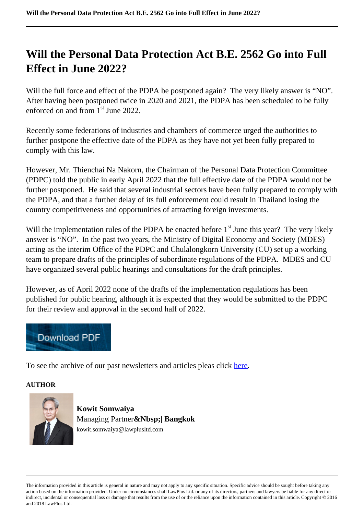## **Will the Personal Data Protection Act B.E. 2562 Go into Full Effect in June 2022?**

Will the full force and effect of the PDPA be postponed again? The very likely answer is "NO". After having been postponed twice in 2020 and 2021, the PDPA has been scheduled to be fully enforced on and from 1<sup>st</sup> June 2022.

Recently some federations of industries and chambers of commerce urged the authorities to further postpone the effective date of the PDPA as they have not yet been fully prepared to comply with this law.

However, Mr. Thienchai Na Nakorn, the Chairman of the Personal Data Protection Committee (PDPC) told the public in early April 2022 that the full effective date of the PDPA would not be further postponed. He said that several industrial sectors have been fully prepared to comply with the PDPA, and that a further delay of its full enforcement could result in Thailand losing the country competitiveness and opportunities of attracting foreign investments.

Will the implementation rules of the PDPA be enacted before  $1<sup>st</sup>$  June this year? The very likely answer is "NO". In the past two years, the Ministry of Digital Economy and Society (MDES) acting as the interim Office of the PDPC and Chulalongkorn University (CU) set up a working team to prepare drafts of the principles of subordinate regulations of the PDPA. MDES and CU have organized several public hearings and consultations for the draft principles.

However, as of April 2022 none of the drafts of the implementation regulations has been published for public hearing, although it is expected that they would be submitted to the PDPC for their review and approval in the second half of 2022.



To see the archive of our past newsletters and articles pleas click here.

## **AUTHOR**



**Kowit Somwaiya** Managing Partner**&Nbsp;| Bangkok** kowit.somwaiya@lawplusltd.com

The information provided in this article is general in nature and may not apply to any specific situation. Specific advice should be sought before taking any action based on the information provided. Under no circumstances shall LawPlus Ltd. or any of its directors, partners and lawyers be liable for any direct or indirect, incidental or consequential loss or damage that results from the use of or the reliance upon the information contained in this article. Copyright © 2016 and 2018 LawPlus Ltd.